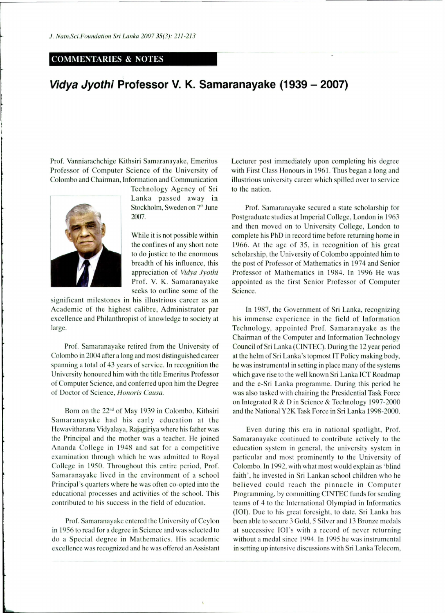## **COMMENTARIES & NOTES**

## *Vidya Jyothi* **Professor V. K. Samaranayake (1939 - 2007)**

Prof. Vanniarachchige Kithsiri Samaranayake, Emeritus Professor of Computer Science of the University of Colombo and Chairman, Information and Communication



Technology Agency of Sri Lanka passed away in Stockholm, Sweden on 7<sup>th</sup> June 2007.

While it is not possible within the confines of any short note to do justice to the enormous breadth of his influence, this appreciation of *Vidya Jyothi • appreciation of vidya Jyoun MM mm* **1101. v. K. Samaranayake** seeks to outline some of the

significant milestones in his illustrious career as an Academic of the highest calibre, Administrator par excellence and Philanthropist of knowledge to society at large.

Prof. Samaranayake retired from the University of Colombo in 2004 after a long and most distinguished career spanning a total of 43 years of service. In recognition the University honoured him with the title Emeritus Professor of Computer Science, and conferred upon him the Degree of Doctor of Science, *Honoris Causa.* 

Born on the  $22<sup>nd</sup>$  of May 1939 in Colombo, Kithsiri Samaranayake had his early education at the Hewavitharana Vidyalaya, Rajagiriya where his father was the Principal and the mother was a teacher. He joined Ananda College in 1948 and sat for a competitive examination through which he was admitted to Royal College in 1950. Throughout this entire period. Prof. Samaranayake lived in the environment of a school Principal's quarters where he was often co-opted into the educational processes and activities of the school. This contributed to his success in the field of education.

Prof. Samaranayake entered the University of Ceylon in 1956 to read for a degree in Science and was selected to do a Special degree in Mathematics. His academic excellence was recognized and he was offered an Assistant Lecturer post immediately upon completing his degree with First Class Honours in 1961. Thus began a long and illustrious university career which spilled over to service to the nation.

Prof. Samaranayake secured a state scholarship for Postgraduate studies at Imperial College, London in 1963 and then moved on to University College, London to complete his PhD in record time before returning home in 1966. At the age of 35, in recognition of his great scholarship, the University of Colombo appointed him to the post of Professor of Mathematics in 1974 and Senior Professor of Mathematics in 1984. In 1996 He was appointed as the first Senior Professor of Computer Science.

In 1987, the Government of Sri Lanka, recognizing his immense experience in the field of Information Technology, appointed Prof. Samaranayake as the Chairman of the Computer and Information Technology Council of Sri Lanka (CINTEC). During the 12 year period at the helm of Sri Lanka's topmost IT Policy making body, he was instrumental in setting in place many of the systems which gave rise to the well known Sri Lanka ICT Roadmap and the e-Sri Lanka programme. During this period he was also tasked with chairing the Presidential Task Force on Integrated R & D in Science & Technology 1997-2000 and the National Y2K Task Force in Sri Lanka 1998-2000.

Even during this era in national spotlight. Prof. Samaranayake continued to contribute actively to the education system in general, the university system in particular and most prominently to the University of Colombo. In 1992, with what most would explain as 'blind faith', he invested in Sri Lankan school children who he believed could reach the pinnacle in Computer Programming, by committing CINTEC funds for sending teams of 4 to the International Olympiad in Informatics (IOI). Due to his great foresight, to date. Sri Lanka has been able to secure 3 Gold, 5 Silver and 13 Bronze medals at successive IOI's with a record of never returning without a medal since 1994. In 1995 he was instrumental in setting up intensive discussions with Sri Lanka Telecom,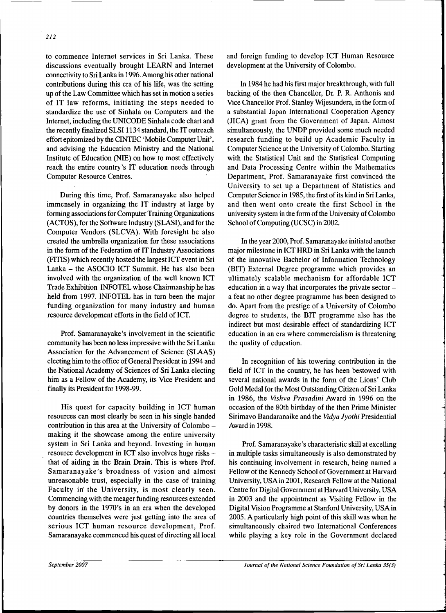to commence Internet services in Sri Lanka. These discussions eventually brought LEARN and Internet connectivity to Sri Lanka in 1996. Among his other national contributions during this era of his life, was the setting up of the Law Committee which has set in motion a series of IT law reforms, initiating the steps needed to standardize the use of Sinhala on Computers and the Internet, including the UNICODE Sinhala code chart and the recently finalized SLSI 1134 standard, the IT outreach effort epitomized by the CINTEC 'Mobile Computer Unit', and advising the Education Ministry and the National Institute of Education (NIE) on how to most effectively reach the entire country's IT education needs through Computer Resource Centres.

During this time, Prof. Samaranayake also helped immensely in organizing the IT industry at large by forming associations for Computer Training Organizations (ACTOS), for the Software Industry (SLASI), and for the Computer Vendors (SLCVA). With foresight he also created the umbrella organization for these associations in the form of the Federation of IT Industry Associations (FITIS) which recently hosted the largest ICT event in Sri Lanka - the ASOCIO ICT Summit. He has also been involved with the organization of the well known ICT Trade Exhibition INFOTEL whose Chairmanship he has held from 1997. INFOTEL has in turn been the major funding organization for many industry and human resource development efforts in the field of ICT.

Prof. Samaranayake's involvement in the scientific community has been no less impressive with the Sri Lanka Association for the Advancement of Science (SLAAS) electing him to the office of General President in 1994 and the National Academy of Sciences of Sri Lanka electing him as a Fellow of the Academy, its Vice President and finally its President for 1998-99.

His quest for capacity building in ICT human resources can most clearly be seen in his single handed contribution in this area at the University of Colombo making it the showcase among the entire university system in Sri Lanka and beyond. Investing in human resource development in ICT also involves huge risks that of aiding in the Brain Drain. This is where Prof. Samaranayake's broadness of vision and almost unreasonable trust, especially in the case of training Faculty in the University, is most clearly seen. Commencing with the meager funding resources extended by donors in the 1970's in an era when the developed countries themselves were just getting into the area of serious ICT human resource development, Prof. Samaranayake commenced his quest of directing all local

and foreign funding to develop ICT Human Resource development at the University of Colombo.

In 1984 he had his first major breakthrough, with full backing of the then Chancellor, Dr. P. R. Anthonis and Vice Chancellor Prof. Stanley Wijesundera, in the form of a substantial Japan International Cooperation Agency (JICA) grant from the Government of Japan. Almost simultaneously, the UNDP provided some much needed research funding to build up Academic Faculty in Computer Science at the University of Colombo. Starting with the Statistical Unit and the Statistical Computing and Data Processing Centre within the Mathematics Department, Prof. Samaranayake first convinced the University to set up a Department of Statistics and Computer Science in 1985, the first of its kind in Sri Lanka, and then went onto create the first School in the university system in the form of the University of Colombo School of Computing (UCSC) in 2002.

In the year 2000, Prof. Samaranayake initiated another major milestone in ICT HRD in Sri Lanka with the launch of the innovative Bachelor of Information Technology (BIT) External Degree programme which provides an ultimately scalable mechanism for affordable ICT education in a way that incorporates the private sector a feat no other degree programme has been designed to do. Apart from the prestige of a University of Colombo degree to students, the BIT programme also has the indirect but most desirable effect of standardizing ICT education in an era where commercialism is threatening the quality of education.

In recognition of his towering contribution in the field of ICT in the country, he has been bestowed with several national awards in the form of the Lions' Club Gold Medal for the Most Outstanding Citizen of Sri Lanka in 1986, the *Vishva Prasadini* Award in 1996 on the occasion of the 80th birthday of the then Prime Minister Sirimavo Bandaranaike and the *Vidya Jyothi* Presidential Award in 1998.

Prof. Samaranayake's characteristic skill at excelling in multiple tasks simultaneously is also demonstrated by his continuing involvement in research, being named a Fellow of the Kennedy School of Government at Harvard University, USAin 2001, Research Fellow at the National Centre for Digital Government at Harvard University, USA in 2003 and the appointment as Visiting Fellow in the Digital Vision Programme at Stanford University, USA in 2005. A particularly high point of this skill was when he simultaneously chaired two International Conferences while playing a key role in the Government declared